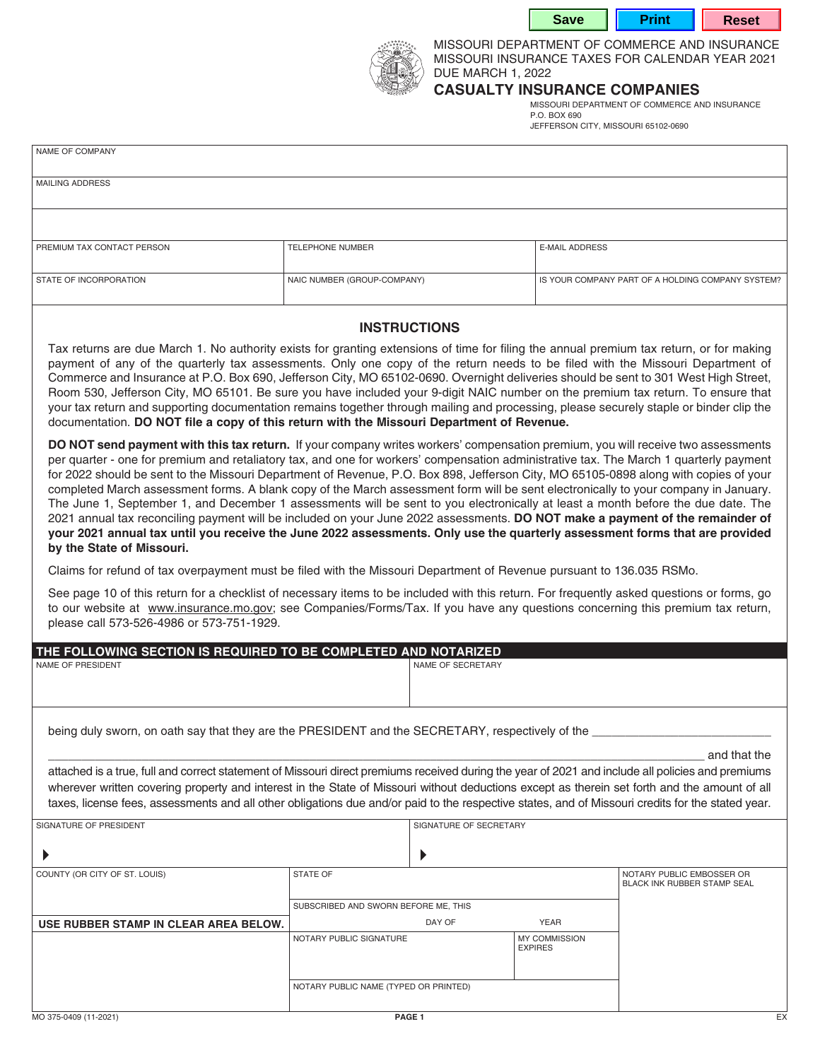**Save | Print | Reset** 



MISSOURI DEPARTMENT OF COMMERCE AND INSURANCE MISSOURI INSURANCE TAXES FOR CALENDAR YEAR 2021 DUE MARCH 1, 2022

## **CASUALTY INSURANCE COMPANIES**

MISSOURI DEPARTMENT OF COMMERCE AND INSURANCE P.O. BOX 690 JEFFERSON CITY, MISSOURI 65102-0690

|--|

| MAILING ADDRESS            |                             |                                                   |
|----------------------------|-----------------------------|---------------------------------------------------|
|                            |                             |                                                   |
|                            |                             |                                                   |
|                            |                             |                                                   |
|                            |                             |                                                   |
|                            |                             |                                                   |
| PREMIUM TAX CONTACT PERSON | <b>TELEPHONE NUMBER</b>     | <b>E-MAIL ADDRESS</b>                             |
|                            |                             |                                                   |
|                            |                             |                                                   |
| STATE OF INCORPORATION     | NAIC NUMBER (GROUP-COMPANY) | IS YOUR COMPANY PART OF A HOLDING COMPANY SYSTEM? |
|                            |                             |                                                   |
|                            |                             |                                                   |

## **INSTRUCTIONS**

Tax returns are due March 1. No authority exists for granting extensions of time for filing the annual premium tax return, or for making payment of any of the quarterly tax assessments. Only one copy of the return needs to be filed with the Missouri Department of Commerce and Insurance at P.O. Box 690, Jefferson City, MO 65102-0690. Overnight deliveries should be sent to 301 West High Street, Room 530, Jefferson City, MO 65101. Be sure you have included your 9-digit NAIC number on the premium tax return. To ensure that your tax return and supporting documentation remains together through mailing and processing, please securely staple or binder clip the documentation. **DO NOT file a copy of this return with the Missouri Department of Revenue.**

**DO NOT send payment with this tax return.** If your company writes workers' compensation premium, you will receive two assessments per quarter - one for premium and retaliatory tax, and one for workers' compensation administrative tax. The March 1 quarterly payment for 2022 should be sent to the Missouri Department of Revenue, P.O. Box 898, Jefferson City, MO 65105-0898 along with copies of your completed March assessment forms. A blank copy of the March assessment form will be sent electronically to your company in January. The June 1, September 1, and December 1 assessments will be sent to you electronically at least a month before the due date. The 2021 annual tax reconciling payment will be included on your June 2022 assessments. **DO NOT make a payment of the remainder of your 2021 annual tax until you receive the June 2022 assessments. Only use the quarterly assessment forms that are provided by the State of Missouri.**

Claims for refund of tax overpayment must be filed with the Missouri Department of Revenue pursuant to 136.035 RSMo.

See page 10 of this return for a checklist of necessary items to be included with this return. For frequently asked questions or forms, go to our website at www.insurance.mo.gov; see Companies/Forms/Tax. If you have any questions concerning this premium tax return, please call 573-526-4986 or 573-751-1929.

| THE FOLLOWING SECTION IS REQUIRED TO BE COMPLETED AND NOTARIZED                                                                                   |                                       |                   |                                        |                                                                 |
|---------------------------------------------------------------------------------------------------------------------------------------------------|---------------------------------------|-------------------|----------------------------------------|-----------------------------------------------------------------|
| NAME OF PRESIDENT                                                                                                                                 |                                       | NAME OF SECRETARY |                                        |                                                                 |
|                                                                                                                                                   |                                       |                   |                                        |                                                                 |
|                                                                                                                                                   |                                       |                   |                                        |                                                                 |
|                                                                                                                                                   |                                       |                   |                                        |                                                                 |
| being duly sworn, on oath say that they are the PRESIDENT and the SECRETARY, respectively of the                                                  |                                       |                   |                                        |                                                                 |
|                                                                                                                                                   |                                       |                   |                                        | and that the                                                    |
| attached is a true, full and correct statement of Missouri direct premiums received during the year of 2021 and include all policies and premiums |                                       |                   |                                        |                                                                 |
| wherever written covering property and interest in the State of Missouri without deductions except as therein set forth and the amount of all     |                                       |                   |                                        |                                                                 |
| taxes, license fees, assessments and all other obligations due and/or paid to the respective states, and of Missouri credits for the stated year. |                                       |                   |                                        |                                                                 |
| SIGNATURE OF SECRETARY<br>SIGNATURE OF PRESIDENT                                                                                                  |                                       |                   |                                        |                                                                 |
|                                                                                                                                                   |                                       |                   |                                        |                                                                 |
|                                                                                                                                                   |                                       |                   |                                        |                                                                 |
| COUNTY (OR CITY OF ST. LOUIS)                                                                                                                     | <b>STATE OF</b>                       |                   |                                        | NOTARY PUBLIC EMBOSSER OR<br><b>BLACK INK RUBBER STAMP SEAL</b> |
|                                                                                                                                                   |                                       |                   |                                        |                                                                 |
|                                                                                                                                                   | SUBSCRIBED AND SWORN BEFORE ME, THIS  |                   |                                        |                                                                 |
| USE RUBBER STAMP IN CLEAR AREA BELOW.                                                                                                             |                                       | DAY OF            | <b>YEAR</b>                            |                                                                 |
|                                                                                                                                                   | NOTARY PUBLIC SIGNATURE               |                   | <b>MY COMMISSION</b><br><b>EXPIRES</b> |                                                                 |
|                                                                                                                                                   |                                       |                   |                                        |                                                                 |
|                                                                                                                                                   | NOTARY PUBLIC NAME (TYPED OR PRINTED) |                   |                                        |                                                                 |
|                                                                                                                                                   |                                       |                   |                                        |                                                                 |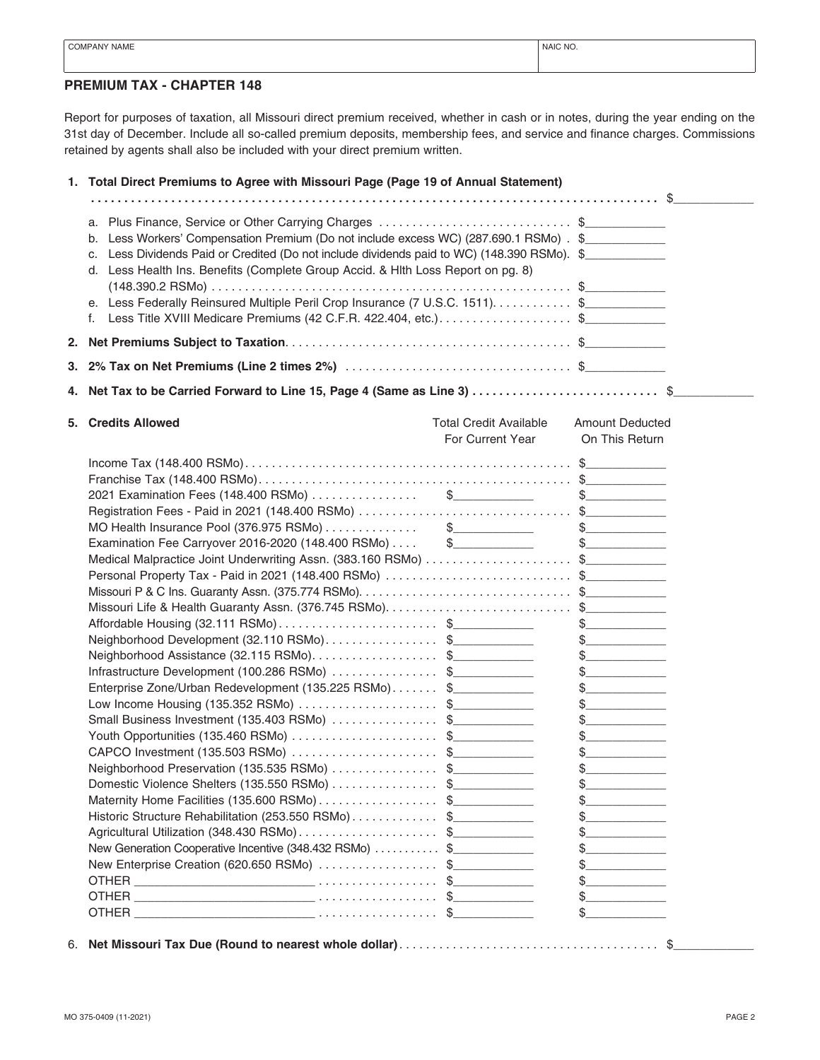## **PREMIUM TAX - CHAPTER 148**

Report for purposes of taxation, all Missouri direct premium received, whether in cash or in notes, during the year ending on the 31st day of December. Include all so-called premium deposits, membership fees, and service and finance charges. Commissions retained by agents shall also be included with your direct premium written.

|    | 1. Total Direct Premiums to Agree with Missouri Page (Page 19 of Annual Statement)                                                                                                                                                                                                                                                                                                                                                                                                                                                                                                                                                                                                                                                                                                                                                                                                                                                                                |                                                   |                                                                                                                                                                                                                                                                                                                                                                                                                                                                                                                                                                                                                                                                                                                                                                                                                                                                                                                                                                                                                                                                                                                                                                                                                                                                                                                                                                                                                                                                                                                                                                                                                                                                                                                                                                                                                                                                                                                                                                                                                                                                                                                                                                                                                                                                                                                                                                                                                                                                                                                                                                                                                                                                                                                                                                                                                                                                                                                                                                                                                                                                                                                                                                                                                                                                                                |
|----|-------------------------------------------------------------------------------------------------------------------------------------------------------------------------------------------------------------------------------------------------------------------------------------------------------------------------------------------------------------------------------------------------------------------------------------------------------------------------------------------------------------------------------------------------------------------------------------------------------------------------------------------------------------------------------------------------------------------------------------------------------------------------------------------------------------------------------------------------------------------------------------------------------------------------------------------------------------------|---------------------------------------------------|------------------------------------------------------------------------------------------------------------------------------------------------------------------------------------------------------------------------------------------------------------------------------------------------------------------------------------------------------------------------------------------------------------------------------------------------------------------------------------------------------------------------------------------------------------------------------------------------------------------------------------------------------------------------------------------------------------------------------------------------------------------------------------------------------------------------------------------------------------------------------------------------------------------------------------------------------------------------------------------------------------------------------------------------------------------------------------------------------------------------------------------------------------------------------------------------------------------------------------------------------------------------------------------------------------------------------------------------------------------------------------------------------------------------------------------------------------------------------------------------------------------------------------------------------------------------------------------------------------------------------------------------------------------------------------------------------------------------------------------------------------------------------------------------------------------------------------------------------------------------------------------------------------------------------------------------------------------------------------------------------------------------------------------------------------------------------------------------------------------------------------------------------------------------------------------------------------------------------------------------------------------------------------------------------------------------------------------------------------------------------------------------------------------------------------------------------------------------------------------------------------------------------------------------------------------------------------------------------------------------------------------------------------------------------------------------------------------------------------------------------------------------------------------------------------------------------------------------------------------------------------------------------------------------------------------------------------------------------------------------------------------------------------------------------------------------------------------------------------------------------------------------------------------------------------------------------------------------------------------------------------------------------------------------|
|    |                                                                                                                                                                                                                                                                                                                                                                                                                                                                                                                                                                                                                                                                                                                                                                                                                                                                                                                                                                   |                                                   |                                                                                                                                                                                                                                                                                                                                                                                                                                                                                                                                                                                                                                                                                                                                                                                                                                                                                                                                                                                                                                                                                                                                                                                                                                                                                                                                                                                                                                                                                                                                                                                                                                                                                                                                                                                                                                                                                                                                                                                                                                                                                                                                                                                                                                                                                                                                                                                                                                                                                                                                                                                                                                                                                                                                                                                                                                                                                                                                                                                                                                                                                                                                                                                                                                                                                                |
|    | a. Plus Finance, Service or Other Carrying Charges \$<br>b. Less Workers' Compensation Premium (Do not include excess WC) (287.690.1 RSMo) . \$<br>c. Less Dividends Paid or Credited (Do not include dividends paid to WC) (148.390 RSMo). \$<br>d. Less Health Ins. Benefits (Complete Group Accid. & Hith Loss Report on pg. 8)<br>e. Less Federally Reinsured Multiple Peril Crop Insurance (7 U.S.C. 1511). \$<br>Less Title XVIII Medicare Premiums (42 C.F.R. 422.404, etc.). \$<br>f.                                                                                                                                                                                                                                                                                                                                                                                                                                                                     |                                                   |                                                                                                                                                                                                                                                                                                                                                                                                                                                                                                                                                                                                                                                                                                                                                                                                                                                                                                                                                                                                                                                                                                                                                                                                                                                                                                                                                                                                                                                                                                                                                                                                                                                                                                                                                                                                                                                                                                                                                                                                                                                                                                                                                                                                                                                                                                                                                                                                                                                                                                                                                                                                                                                                                                                                                                                                                                                                                                                                                                                                                                                                                                                                                                                                                                                                                                |
| 2. |                                                                                                                                                                                                                                                                                                                                                                                                                                                                                                                                                                                                                                                                                                                                                                                                                                                                                                                                                                   |                                                   |                                                                                                                                                                                                                                                                                                                                                                                                                                                                                                                                                                                                                                                                                                                                                                                                                                                                                                                                                                                                                                                                                                                                                                                                                                                                                                                                                                                                                                                                                                                                                                                                                                                                                                                                                                                                                                                                                                                                                                                                                                                                                                                                                                                                                                                                                                                                                                                                                                                                                                                                                                                                                                                                                                                                                                                                                                                                                                                                                                                                                                                                                                                                                                                                                                                                                                |
|    |                                                                                                                                                                                                                                                                                                                                                                                                                                                                                                                                                                                                                                                                                                                                                                                                                                                                                                                                                                   |                                                   |                                                                                                                                                                                                                                                                                                                                                                                                                                                                                                                                                                                                                                                                                                                                                                                                                                                                                                                                                                                                                                                                                                                                                                                                                                                                                                                                                                                                                                                                                                                                                                                                                                                                                                                                                                                                                                                                                                                                                                                                                                                                                                                                                                                                                                                                                                                                                                                                                                                                                                                                                                                                                                                                                                                                                                                                                                                                                                                                                                                                                                                                                                                                                                                                                                                                                                |
| 4. | Net Tax to be Carried Forward to Line 15, Page 4 (Same as Line 3) \$                                                                                                                                                                                                                                                                                                                                                                                                                                                                                                                                                                                                                                                                                                                                                                                                                                                                                              |                                                   |                                                                                                                                                                                                                                                                                                                                                                                                                                                                                                                                                                                                                                                                                                                                                                                                                                                                                                                                                                                                                                                                                                                                                                                                                                                                                                                                                                                                                                                                                                                                                                                                                                                                                                                                                                                                                                                                                                                                                                                                                                                                                                                                                                                                                                                                                                                                                                                                                                                                                                                                                                                                                                                                                                                                                                                                                                                                                                                                                                                                                                                                                                                                                                                                                                                                                                |
|    |                                                                                                                                                                                                                                                                                                                                                                                                                                                                                                                                                                                                                                                                                                                                                                                                                                                                                                                                                                   |                                                   |                                                                                                                                                                                                                                                                                                                                                                                                                                                                                                                                                                                                                                                                                                                                                                                                                                                                                                                                                                                                                                                                                                                                                                                                                                                                                                                                                                                                                                                                                                                                                                                                                                                                                                                                                                                                                                                                                                                                                                                                                                                                                                                                                                                                                                                                                                                                                                                                                                                                                                                                                                                                                                                                                                                                                                                                                                                                                                                                                                                                                                                                                                                                                                                                                                                                                                |
|    | 5. Credits Allowed                                                                                                                                                                                                                                                                                                                                                                                                                                                                                                                                                                                                                                                                                                                                                                                                                                                                                                                                                | <b>Total Credit Available</b><br>For Current Year | <b>Amount Deducted</b><br>On This Return                                                                                                                                                                                                                                                                                                                                                                                                                                                                                                                                                                                                                                                                                                                                                                                                                                                                                                                                                                                                                                                                                                                                                                                                                                                                                                                                                                                                                                                                                                                                                                                                                                                                                                                                                                                                                                                                                                                                                                                                                                                                                                                                                                                                                                                                                                                                                                                                                                                                                                                                                                                                                                                                                                                                                                                                                                                                                                                                                                                                                                                                                                                                                                                                                                                       |
|    | MO Health Insurance Pool (376.975 RSMo) $\ldots$ $\ldots$ $\qquad$ $\qquad$<br>Examination Fee Carryover 2016-2020 (148.400 RSMo) \$<br>Personal Property Tax - Paid in 2021 (148.400 RSMo) \$<br>Affordable Housing (32.111 RSMo)\$<br>Neighborhood Development (32.110 RSMo)\$<br>Neighborhood Assistance (32.115 RSMo)\$<br>Infrastructure Development (100.286 RSMo) \$<br>Enterprise Zone/Urban Redevelopment (135.225 RSMo) \$<br>Low Income Housing (135.352 RSMo) \$<br>Small Business Investment (135.403 RSMo) \$<br>Youth Opportunities (135.460 RSMo) \$<br>CAPCO Investment (135.503 RSMo) \$<br>Neighborhood Preservation (135.535 RSMo) \$<br>Domestic Violence Shelters (135.550 RSMo) \$<br>Maternity Home Facilities (135.600 RSMo)\$<br>Historic Structure Rehabilitation (253.550 RSMo)\$<br>Agricultural Utilization (348.430 RSMo)\$<br>New Generation Cooperative Incentive (348.432 RSMo) \$<br>New Enterprise Creation (620.650 RSMo) \$ |                                                   | $\frac{1}{2}$<br>$\frac{1}{2}$<br>$\frac{1}{2}$<br>$\frac{1}{2}$<br>$\begin{picture}(20,20) \put(0,0){\line(1,0){100}} \put(15,0){\line(1,0){100}} \put(15,0){\line(1,0){100}} \put(15,0){\line(1,0){100}} \put(15,0){\line(1,0){100}} \put(15,0){\line(1,0){100}} \put(15,0){\line(1,0){100}} \put(15,0){\line(1,0){100}} \put(15,0){\line(1,0){100}} \put(15,0){\line(1,0){100}} \put(15,0){\line(1,0){100}} \$<br>$\begin{picture}(20,20) \put(0,0){\line(1,0){100}} \put(15,0){\line(1,0){100}} \put(15,0){\line(1,0){100}} \put(15,0){\line(1,0){100}} \put(15,0){\line(1,0){100}} \put(15,0){\line(1,0){100}} \put(15,0){\line(1,0){100}} \put(15,0){\line(1,0){100}} \put(15,0){\line(1,0){100}} \put(15,0){\line(1,0){100}} \put(15,0){\line(1,0){100}} \$<br>$\frac{1}{2}$<br>$\frac{1}{2}$<br>$\frac{1}{2}$<br>$\begin{picture}(20,20) \put(0,0){\line(1,0){100}} \put(15,0){\line(1,0){100}} \put(15,0){\line(1,0){100}} \put(15,0){\line(1,0){100}} \put(15,0){\line(1,0){100}} \put(15,0){\line(1,0){100}} \put(15,0){\line(1,0){100}} \put(15,0){\line(1,0){100}} \put(15,0){\line(1,0){100}} \put(15,0){\line(1,0){100}} \put(15,0){\line(1,0){100}} \$<br>$\begin{array}{c c} \uparrow \end{array}$<br>$\begin{picture}(20,20) \put(0,0){\line(1,0){100}} \put(15,0){\line(1,0){100}} \put(15,0){\line(1,0){100}} \put(15,0){\line(1,0){100}} \put(15,0){\line(1,0){100}} \put(15,0){\line(1,0){100}} \put(15,0){\line(1,0){100}} \put(15,0){\line(1,0){100}} \put(15,0){\line(1,0){100}} \put(15,0){\line(1,0){100}} \put(15,0){\line(1,0){100}} \$<br>$\begin{array}{c c} \uparrow \end{array}$<br>$\begin{array}{c c} \uparrow \end{array}$<br>$\begin{array}{c} \n\text{\$} \quad \text{\$} \quad \text{\$} \quad \text{\$} \quad \text{\$} \quad \text{\$} \quad \text{\$} \quad \text{\$} \quad \text{\$} \quad \text{\$} \quad \text{\$} \quad \text{\$} \quad \text{\$} \quad \text{\$} \quad \text{\$} \quad \text{\$} \quad \text{\$} \quad \text{\$} \quad \text{\$} \quad \text{\$} \quad \text{\$} \quad \text{\$} \quad \text{\$} \quad \text{\$} \quad \text{\$} \quad \text{\$} \quad \text{\$} \quad \text{\$} \quad \text{\$} \quad \text{\$} \quad \$<br>$\begin{picture}(20,20) \put(0,0){\line(1,0){100}} \put(15,0){\line(1,0){100}} \put(15,0){\line(1,0){100}} \put(15,0){\line(1,0){100}} \put(15,0){\line(1,0){100}} \put(15,0){\line(1,0){100}} \put(15,0){\line(1,0){100}} \put(15,0){\line(1,0){100}} \put(15,0){\line(1,0){100}} \put(15,0){\line(1,0){100}} \put(15,0){\line(1,0){100}} \$<br>$\begin{picture}(20,20) \put(0,0){\line(1,0){100}} \put(15,0){\line(1,0){100}} \put(15,0){\line(1,0){100}} \put(15,0){\line(1,0){100}} \put(15,0){\line(1,0){100}} \put(15,0){\line(1,0){100}} \put(15,0){\line(1,0){100}} \put(15,0){\line(1,0){100}} \put(15,0){\line(1,0){100}} \put(15,0){\line(1,0){100}} \put(15,0){\line(1,0){100}} \$<br>$\begin{picture}(20,20) \put(0,0){\line(1,0){100}} \put(15,0){\line(1,0){100}} \put(15,0){\line(1,0){100}} \put(15,0){\line(1,0){100}} \put(15,0){\line(1,0){100}} \put(15,0){\line(1,0){100}} \put(15,0){\line(1,0){100}} \put(15,0){\line(1,0){100}} \put(15,0){\line(1,0){100}} \put(15,0){\line(1,0){100}} \put(15,0){\line(1,0){100}} \$<br>$\frac{1}{2}$<br>$\frac{1}{2}$<br>$\frac{1}{2}$ |

6. **Net Missouri Tax Due (Round to nearest whole dollar)** ....................................... \$\_\_\_\_\_\_\_\_\_\_\_\_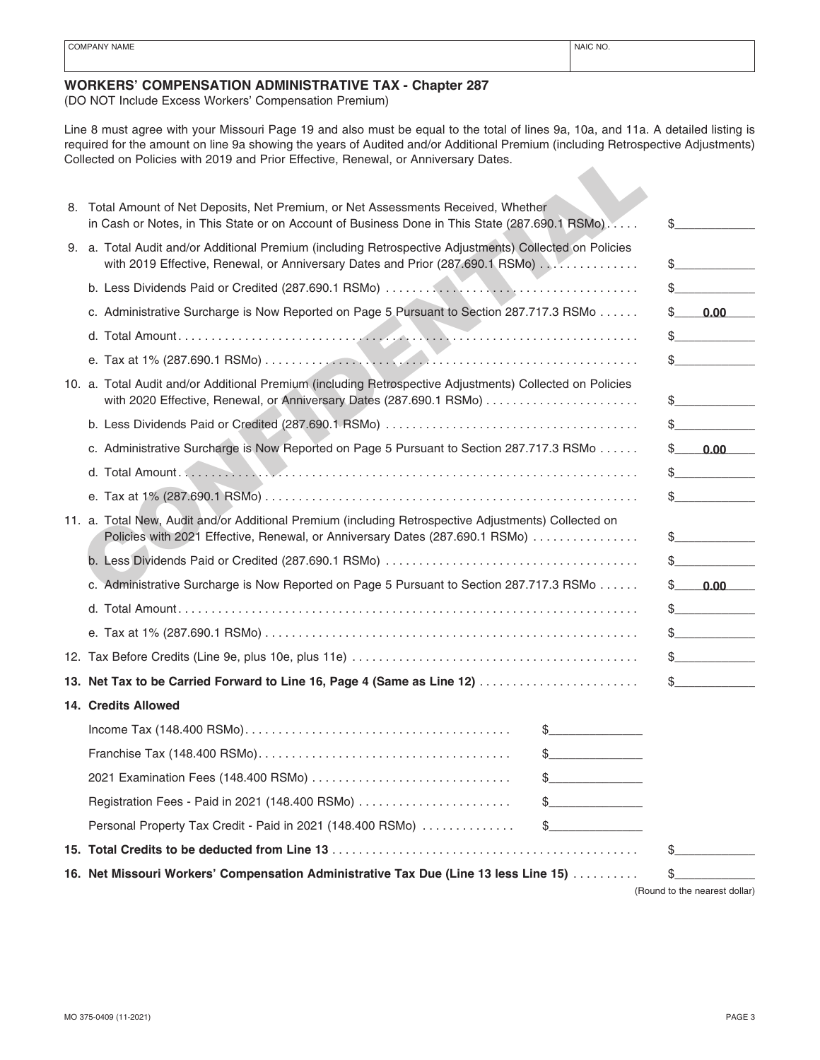### **WORKERS' COMPENSATION ADMINISTRATIVE TAX - Chapter 287**

(DO NOT Include Excess Workers' Compensation Premium)

Line 8 must agree with your Missouri Page 19 and also must be equal to the total of lines 9a, 10a, and 11a. A detailed listing is required for the amount on line 9a showing the years of Audited and/or Additional Premium (including Retrospective Adjustments) Collected on Policies with 2019 and Prior Effective, Renewal, or Anniversary Dates.

| Collected on Policies with 2019 and Prior Effective, Renewal, or Anniversary Dates.                                                                                                      |               |    |                               |
|------------------------------------------------------------------------------------------------------------------------------------------------------------------------------------------|---------------|----|-------------------------------|
| 8. Total Amount of Net Deposits, Net Premium, or Net Assessments Received, Whether<br>in Cash or Notes, in This State or on Account of Business Done in This State (287.690.1 RSMo)      |               | \$ |                               |
| 9. a. Total Audit and/or Additional Premium (including Retrospective Adjustments) Collected on Policies<br>with 2019 Effective, Renewal, or Anniversary Dates and Prior (287.690.1 RSMo) |               |    |                               |
|                                                                                                                                                                                          |               |    | $\mathbb{S}$ and $\mathbb{S}$ |
| c. Administrative Surcharge is Now Reported on Page 5 Pursuant to Section 287.717.3 RSMo                                                                                                 |               |    | $$-.00$                       |
|                                                                                                                                                                                          |               |    | $\frac{1}{2}$                 |
|                                                                                                                                                                                          |               |    | $\mathbb{S}$ and $\mathbb{S}$ |
| 10. a. Total Audit and/or Additional Premium (including Retrospective Adjustments) Collected on Policies<br>with 2020 Effective, Renewal, or Anniversary Dates (287.690.1 RSMo)          |               |    | $\sim$                        |
|                                                                                                                                                                                          |               |    |                               |
| c. Administrative Surcharge is Now Reported on Page 5 Pursuant to Section 287.717.3 RSMo                                                                                                 |               |    | $$-.0.00$                     |
|                                                                                                                                                                                          |               |    | $\sim$                        |
|                                                                                                                                                                                          |               |    | $\mathbb{S}$                  |
| 11. a. Total New, Audit and/or Additional Premium (including Retrospective Adjustments) Collected on<br>Policies with 2021 Effective, Renewal, or Anniversary Dates (287.690.1 RSMo)     |               |    |                               |
|                                                                                                                                                                                          |               |    | $\mathbb{S}$                  |
| c. Administrative Surcharge is Now Reported on Page 5 Pursuant to Section 287.717.3 RSMo                                                                                                 |               | S. | 0.00                          |
|                                                                                                                                                                                          |               |    | $\frac{1}{2}$                 |
|                                                                                                                                                                                          |               |    | $\frac{1}{2}$                 |
|                                                                                                                                                                                          |               |    | $\frac{1}{2}$                 |
| 13. Net Tax to be Carried Forward to Line 16, Page 4 (Same as Line 12)                                                                                                                   |               |    |                               |
| 14. Credits Allowed                                                                                                                                                                      |               |    |                               |
|                                                                                                                                                                                          |               |    |                               |
|                                                                                                                                                                                          | $\frac{1}{2}$ |    |                               |
|                                                                                                                                                                                          | $\frac{1}{2}$ |    |                               |
| Registration Fees - Paid in 2021 (148.400 RSMo)                                                                                                                                          | $\frac{1}{2}$ |    |                               |
| Personal Property Tax Credit - Paid in 2021 (148.400 RSMo)                                                                                                                               | $\frac{1}{2}$ |    |                               |
|                                                                                                                                                                                          |               | \$ |                               |
| 16. Net Missouri Workers' Compensation Administrative Tax Due (Line 13 less Line 15)                                                                                                     |               | \$ |                               |
|                                                                                                                                                                                          |               |    | (Round to the nearest dollar) |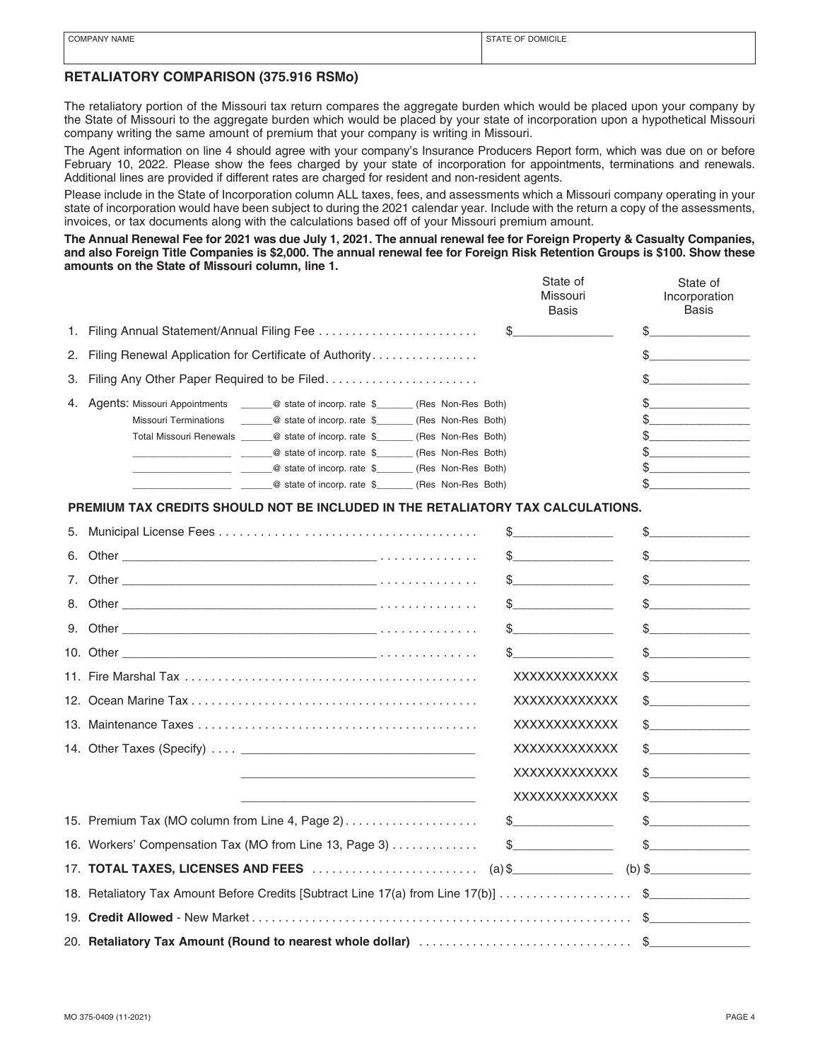## **RETALIATORY COMPARISON (375.916 RSMo)**

The retaliatory portion of the Missouri tax return compares the aggregate burden which would be placed upon your company by the State of Missouri to the aggregate burden which would be placed by your state of incorporation upon a hypothetical Missouri company writing the same amount of premium that your company is writing in Missouri.

The Agent information on line 4 should agree with your company's Insurance Producers Report form, which was due on or before February 10, 2022. Please show the fees charged by your state of incorporation for appointments, terminations and renewals. Additional lines are provided if different rates are charged for resident and non-resident agents.

Please include in the State of Incorporation column ALL taxes, fees, and assessments which a Missouri company operating in your state of incorporation would have been subject to during the 2021 calendar year. Include with the return a copy of the assessments, invoices, or tax documents along with the calculations based off of your Missouri premium amount.

**The Annual Renewal Fee for 2021 was due July 1, 2021. The annual renewal fee for Foreign Property & Casualty Companies, and also Foreign Title Companies is \$2,000. The annual renewal fee for Foreign Risk Retention Groups is \$100. Show these amounts on the State of Missouri column, line 1.**

|                                                                                          | State of<br>State of<br>Missouri<br>Incorporation<br>Basis<br>Basis |
|------------------------------------------------------------------------------------------|---------------------------------------------------------------------|
| 1. Filing Annual Statement/Annual Filing Fee                                             |                                                                     |
| 2. Filing Renewal Application for Certificate of Authority                               |                                                                     |
| 3. Filing Any Other Paper Required to be Filed                                           |                                                                     |
| 4. Agents: Missouri Appointments _______@ state of incorp. rate \$<br>(Res Non-Res Both) |                                                                     |
| <b>Missouri Terminations</b><br>@ state of incorp. rate \$<br>(Res Non-Res Both)         |                                                                     |
| Total Missouri Renewals @ state of incorp. rate \$<br>(Res Non-Res Both)                 |                                                                     |
| @ state of incorp. rate \$<br>(Res Non-Res Both)                                         |                                                                     |
| @ state of incorp. rate \$<br>(Res Non-Res Both)                                         |                                                                     |
| @ state of incorp. rate \$<br>(Res Non-Res Both)                                         |                                                                     |

### **PREMIUM TAX CREDITS SHOULD NOT BE INCLUDED IN THE RETALIATORY TAX CALCULATIONS.**

| $\frac{1}{2}$                                                                                                                                                                                                                                                                                                                                                       | $\frac{1}{2}$                                                                                                                                                                                                                                                                                                                                       |
|---------------------------------------------------------------------------------------------------------------------------------------------------------------------------------------------------------------------------------------------------------------------------------------------------------------------------------------------------------------------|-----------------------------------------------------------------------------------------------------------------------------------------------------------------------------------------------------------------------------------------------------------------------------------------------------------------------------------------------------|
| $\begin{array}{c c} \n\end{array}$                                                                                                                                                                                                                                                                                                                                  | $\frac{1}{2}$                                                                                                                                                                                                                                                                                                                                       |
| $\frac{1}{2}$                                                                                                                                                                                                                                                                                                                                                       | $\frac{1}{2}$                                                                                                                                                                                                                                                                                                                                       |
| $\frac{1}{2}$                                                                                                                                                                                                                                                                                                                                                       | $\frac{1}{2}$                                                                                                                                                                                                                                                                                                                                       |
| $\begin{picture}(20,20) \put(0,0){\vector(1,0){100}} \put(15,0){\vector(1,0){100}} \put(15,0){\vector(1,0){100}} \put(15,0){\vector(1,0){100}} \put(15,0){\vector(1,0){100}} \put(15,0){\vector(1,0){100}} \put(15,0){\vector(1,0){100}} \put(15,0){\vector(1,0){100}} \put(15,0){\vector(1,0){100}} \put(15,0){\vector(1,0){100}} \put(15,0){\vector(1,0){100}} \$ | $\frac{1}{2}$                                                                                                                                                                                                                                                                                                                                       |
| $\mathsf{\$} \hspace{0.06cm} \underbrace{\hspace{0.08cm} \text{--} \hspace{0.08cm} \hspace{0.08cm} }$                                                                                                                                                                                                                                                               | $\frac{1}{2}$                                                                                                                                                                                                                                                                                                                                       |
| XXXXXXXXXXXXX                                                                                                                                                                                                                                                                                                                                                       | $\frac{1}{2}$                                                                                                                                                                                                                                                                                                                                       |
| XXXXXXXXXXXXX                                                                                                                                                                                                                                                                                                                                                       | $\frac{1}{2}$                                                                                                                                                                                                                                                                                                                                       |
| XXXXXXXXXXXXX                                                                                                                                                                                                                                                                                                                                                       | $\frac{1}{2}$                                                                                                                                                                                                                                                                                                                                       |
| XXXXXXXXXXXXX                                                                                                                                                                                                                                                                                                                                                       | $\begin{picture}(20,10) \put(0,0){\line(1,0){10}} \put(15,0){\line(1,0){10}} \put(15,0){\line(1,0){10}} \put(15,0){\line(1,0){10}} \put(15,0){\line(1,0){10}} \put(15,0){\line(1,0){10}} \put(15,0){\line(1,0){10}} \put(15,0){\line(1,0){10}} \put(15,0){\line(1,0){10}} \put(15,0){\line(1,0){10}} \put(15,0){\line(1,0){10}} \put(15,0){\line(1$ |
| XXXXXXXXXXXXX                                                                                                                                                                                                                                                                                                                                                       | $\frac{1}{2}$                                                                                                                                                                                                                                                                                                                                       |
| XXXXXXXXXXXXX<br><u> 1989 - Andrea Stadt Britain, amerikansk politik (* 1908)</u>                                                                                                                                                                                                                                                                                   | $\begin{picture}(20,10) \put(0,0){\line(1,0){10}} \put(15,0){\line(1,0){10}} \put(15,0){\line(1,0){10}} \put(15,0){\line(1,0){10}} \put(15,0){\line(1,0){10}} \put(15,0){\line(1,0){10}} \put(15,0){\line(1,0){10}} \put(15,0){\line(1,0){10}} \put(15,0){\line(1,0){10}} \put(15,0){\line(1,0){10}} \put(15,0){\line(1,0){10}} \put(15,0){\line(1$ |
| 15. Premium Tax (MO column from Line 4, Page 2) \$                                                                                                                                                                                                                                                                                                                  | $\frac{1}{2}$                                                                                                                                                                                                                                                                                                                                       |
| 16. Workers' Compensation Tax (MO from Line 13, Page 3)  \$                                                                                                                                                                                                                                                                                                         | $\frac{1}{2}$                                                                                                                                                                                                                                                                                                                                       |
|                                                                                                                                                                                                                                                                                                                                                                     |                                                                                                                                                                                                                                                                                                                                                     |
| 18. Retaliatory Tax Amount Before Credits [Subtract Line 17(a) from Line 17(b)] \$                                                                                                                                                                                                                                                                                  |                                                                                                                                                                                                                                                                                                                                                     |
|                                                                                                                                                                                                                                                                                                                                                                     |                                                                                                                                                                                                                                                                                                                                                     |
|                                                                                                                                                                                                                                                                                                                                                                     |                                                                                                                                                                                                                                                                                                                                                     |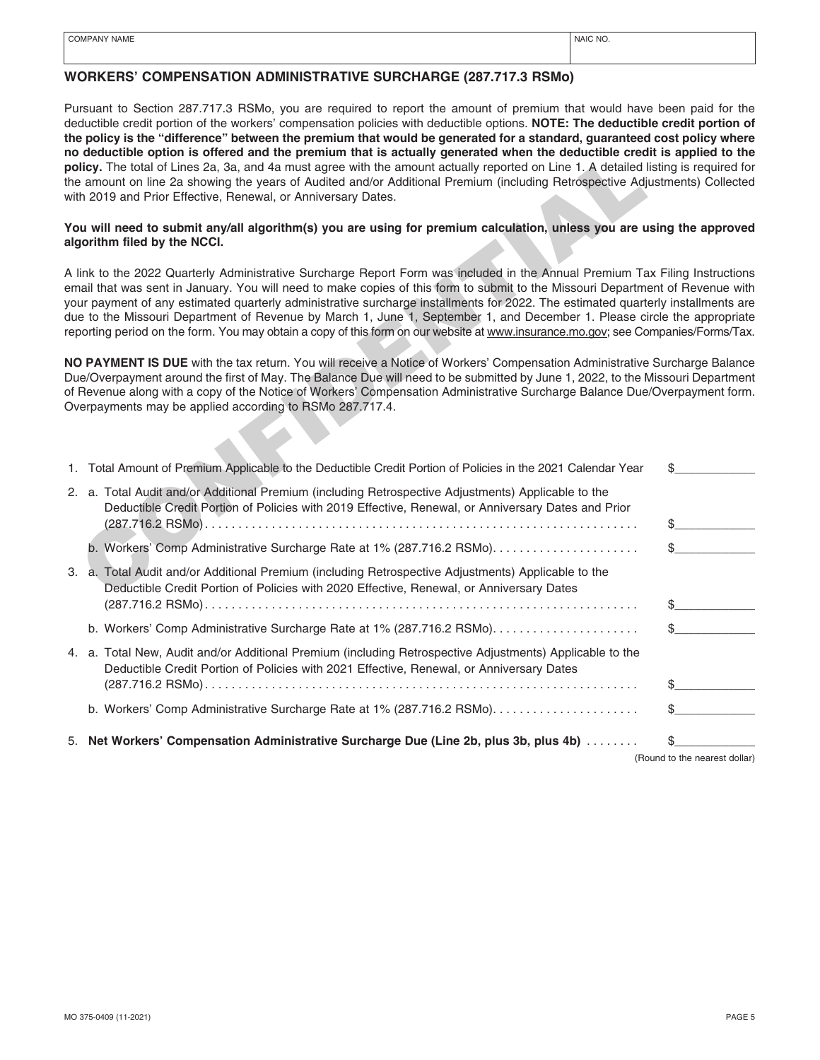### **WORKERS' COMPENSATION ADMINISTRATIVE SURCHARGE (287.717.3 RSMo)**

Pursuant to Section 287.717.3 RSMo, you are required to report the amount of premium that would have been paid for the deductible credit portion of the workers' compensation policies with deductible options. **NOTE: The deductible credit portion of the policy is the "difference" between the premium that would be generated for a standard, guaranteed cost policy where no deductible option is offered and the premium that is actually generated when the deductible credit is applied to the policy.** The total of Lines 2a, 3a, and 4a must agree with the amount actually reported on Line 1. A detailed listing is required for the amount on line 2a showing the years of Audited and/or Additional Premium (including Retrospective Adjustments) Collected with 2019 and Prior Effective, Renewal, or Anniversary Dates.

#### **You will need to submit any/all algorithm(s) you are using for premium calculation, unless you are using the approved algorithm filed by the NCCI.**

| no deductible option is offered and the premium that is actually generated when the deductible credit is applied to the<br>policy. The total of Lines 2a, 3a, and 4a must agree with the amount actually reported on Line 1. A detailed listing is required for<br>the amount on line 2a showing the years of Audited and/or Additional Premium (including Retrospective Adjustments) Collected<br>with 2019 and Prior Effective, Renewal, or Anniversary Dates.                                                                                                                                                                                                    |                               |
|---------------------------------------------------------------------------------------------------------------------------------------------------------------------------------------------------------------------------------------------------------------------------------------------------------------------------------------------------------------------------------------------------------------------------------------------------------------------------------------------------------------------------------------------------------------------------------------------------------------------------------------------------------------------|-------------------------------|
| You will need to submit any/all algorithm(s) you are using for premium calculation, unless you are using the approved<br>algorithm filed by the NCCI.                                                                                                                                                                                                                                                                                                                                                                                                                                                                                                               |                               |
| A link to the 2022 Quarterly Administrative Surcharge Report Form was included in the Annual Premium Tax Filing Instructions<br>email that was sent in January. You will need to make copies of this form to submit to the Missouri Department of Revenue with<br>your payment of any estimated quarterly administrative surcharge installments for 2022. The estimated quarterly installments are<br>due to the Missouri Department of Revenue by March 1, June 1, September 1, and December 1. Please circle the appropriate<br>reporting period on the form. You may obtain a copy of this form on our website at www.insurance.mo.gov; see Companies/Forms/Tax. |                               |
| NO PAYMENT IS DUE with the tax return. You will receive a Notice of Workers' Compensation Administrative Surcharge Balance<br>Due/Overpayment around the first of May. The Balance Due will need to be submitted by June 1, 2022, to the Missouri Department<br>of Revenue along with a copy of the Notice of Workers' Compensation Administrative Surcharge Balance Due/Overpayment form.<br>Overpayments may be applied according to RSMo 287.717.4.                                                                                                                                                                                                              |                               |
| 1. Total Amount of Premium Applicable to the Deductible Credit Portion of Policies in the 2021 Calendar Year                                                                                                                                                                                                                                                                                                                                                                                                                                                                                                                                                        | \$                            |
| 2. a. Total Audit and/or Additional Premium (including Retrospective Adjustments) Applicable to the<br>Deductible Credit Portion of Policies with 2019 Effective, Renewal, or Anniversary Dates and Prior                                                                                                                                                                                                                                                                                                                                                                                                                                                           | \$                            |
|                                                                                                                                                                                                                                                                                                                                                                                                                                                                                                                                                                                                                                                                     | \$                            |
| 3. a. Total Audit and/or Additional Premium (including Retrospective Adjustments) Applicable to the<br>Deductible Credit Portion of Policies with 2020 Effective, Renewal, or Anniversary Dates                                                                                                                                                                                                                                                                                                                                                                                                                                                                     |                               |
|                                                                                                                                                                                                                                                                                                                                                                                                                                                                                                                                                                                                                                                                     | \$                            |
|                                                                                                                                                                                                                                                                                                                                                                                                                                                                                                                                                                                                                                                                     | \$                            |
| 4. a. Total New, Audit and/or Additional Premium (including Retrospective Adjustments) Applicable to the<br>Deductible Credit Portion of Policies with 2021 Effective, Renewal, or Anniversary Dates                                                                                                                                                                                                                                                                                                                                                                                                                                                                |                               |
|                                                                                                                                                                                                                                                                                                                                                                                                                                                                                                                                                                                                                                                                     | \$                            |
| b. Workers' Comp Administrative Surcharge Rate at 1% (287.716.2 RSMo)                                                                                                                                                                                                                                                                                                                                                                                                                                                                                                                                                                                               |                               |
| 5. Net Workers' Compensation Administrative Surcharge Due (Line 2b, plus 3b, plus 4b)                                                                                                                                                                                                                                                                                                                                                                                                                                                                                                                                                                               |                               |
|                                                                                                                                                                                                                                                                                                                                                                                                                                                                                                                                                                                                                                                                     | (Round to the nearest dollar) |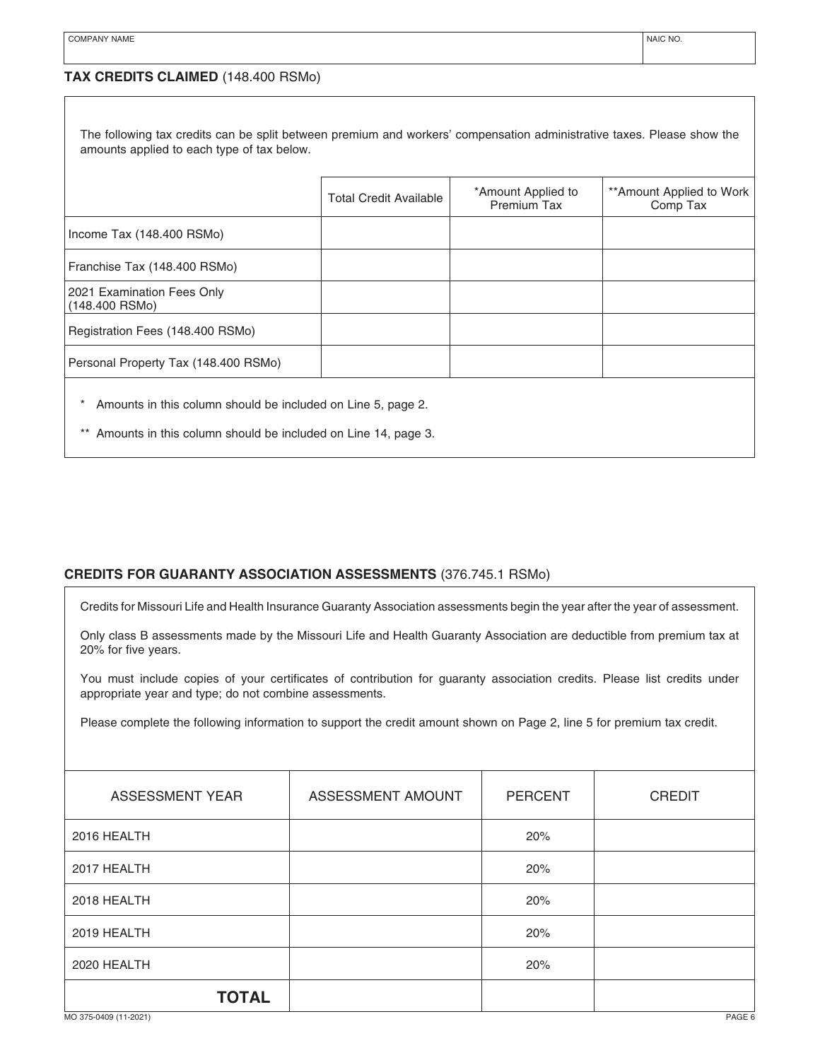| The following tax credits can be split between premium and workers' compensation administrative taxes. Please show the<br>amounts applied to each type of tax below. |                               |                                   |                                      |  |  |
|----------------------------------------------------------------------------------------------------------------------------------------------------------------------|-------------------------------|-----------------------------------|--------------------------------------|--|--|
|                                                                                                                                                                      | <b>Total Credit Available</b> | *Amount Applied to<br>Premium Tax | **Amount Applied to Work<br>Comp Tax |  |  |
| Income Tax (148.400 RSMo)                                                                                                                                            |                               |                                   |                                      |  |  |
| Franchise Tax (148.400 RSMo)                                                                                                                                         |                               |                                   |                                      |  |  |
| 2021 Examination Fees Only<br>$(148.400$ RSMo)                                                                                                                       |                               |                                   |                                      |  |  |
| Registration Fees (148.400 RSMo)                                                                                                                                     |                               |                                   |                                      |  |  |
| Personal Property Tax (148.400 RSMo)                                                                                                                                 |                               |                                   |                                      |  |  |
| Amounts in this column should be included on Line 5, page 2.<br>** Amounts in this column should be included on Line 14, page 3.                                     |                               |                                   |                                      |  |  |

# **CREDITS FOR GUARANTY ASSOCIATION ASSESSMENTS** (376.745.1 RSMo)

Credits for Missouri Life and Health Insurance Guaranty Association assessments begin the year after the year of assessment.

Only class B assessments made by the Missouri Life and Health Guaranty Association are deductible from premium tax at 20% for five years.

You must include copies of your certificates of contribution for guaranty association credits. Please list credits under appropriate year and type; do not combine assessments.

Please complete the following information to support the credit amount shown on Page 2, line 5 for premium tax credit.

| <b>ASSESSMENT YEAR</b> | ASSESSMENT AMOUNT | <b>PERCENT</b> | <b>CREDIT</b> |
|------------------------|-------------------|----------------|---------------|
| 2016 HEALTH            |                   | 20%            |               |
| 2017 HEALTH            |                   | 20%            |               |
| 2018 HEALTH            |                   | 20%            |               |
| 2019 HEALTH            |                   | 20%            |               |
| 2020 HEALTH            |                   | 20%            |               |
| <b>TOTAL</b>           |                   |                |               |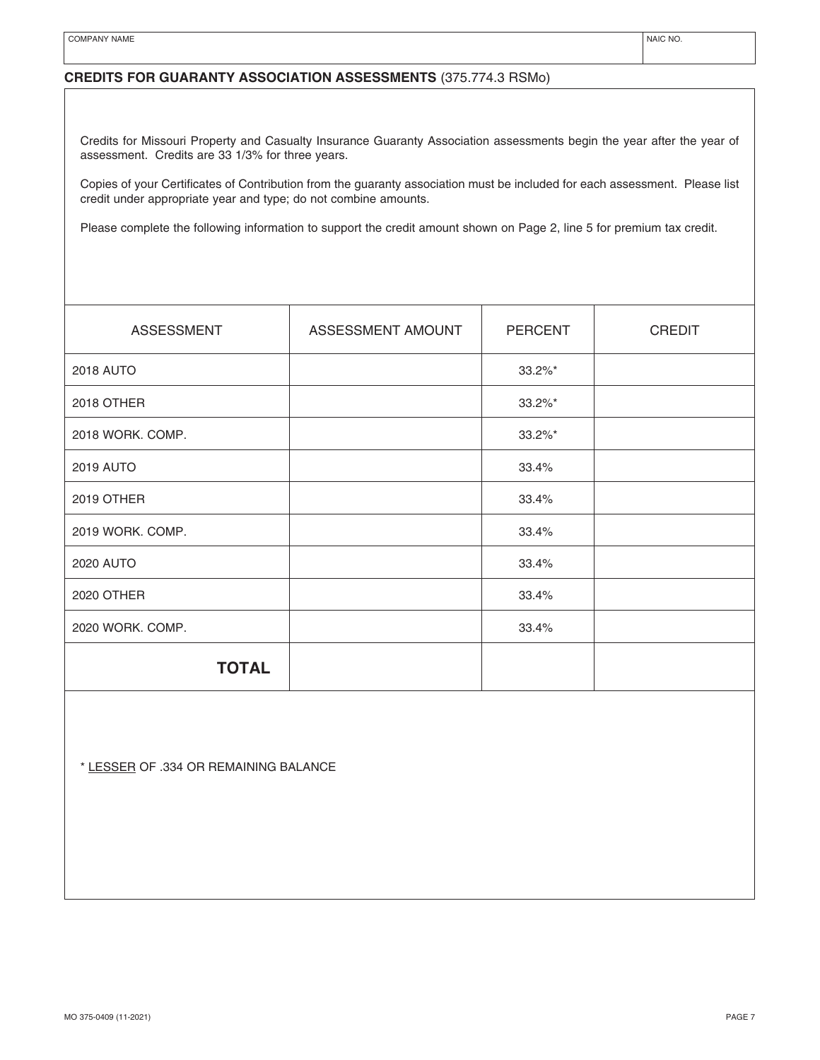# **CREDITS FOR GUARANTY ASSOCIATION ASSESSMENTS** (375.774.3 RSMo)

Credits for Missouri Property and Casualty Insurance Guaranty Association assessments begin the year after the year of assessment. Credits are 33 1/3% for three years.

Copies of your Certificates of Contribution from the guaranty association must be included for each assessment. Please list credit under appropriate year and type; do not combine amounts.

Please complete the following information to support the credit amount shown on Page 2, line 5 for premium tax credit.

| <b>ASSESSMENT</b> | ASSESSMENT AMOUNT | <b>PERCENT</b> | <b>CREDIT</b> |
|-------------------|-------------------|----------------|---------------|
| 2018 AUTO         |                   | $33.2\%$ *     |               |
| 2018 OTHER        |                   | $33.2\%$ *     |               |
| 2018 WORK. COMP.  |                   | $33.2\%$ *     |               |
| <b>2019 AUTO</b>  |                   | 33.4%          |               |
| 2019 OTHER        |                   | 33.4%          |               |
| 2019 WORK. COMP.  |                   | 33.4%          |               |
| 2020 AUTO         |                   | 33.4%          |               |
| 2020 OTHER        |                   | 33.4%          |               |
| 2020 WORK. COMP.  |                   | 33.4%          |               |
| <b>TOTAL</b>      |                   |                |               |

\* LESSER OF .334 OR REMAINING BALANCE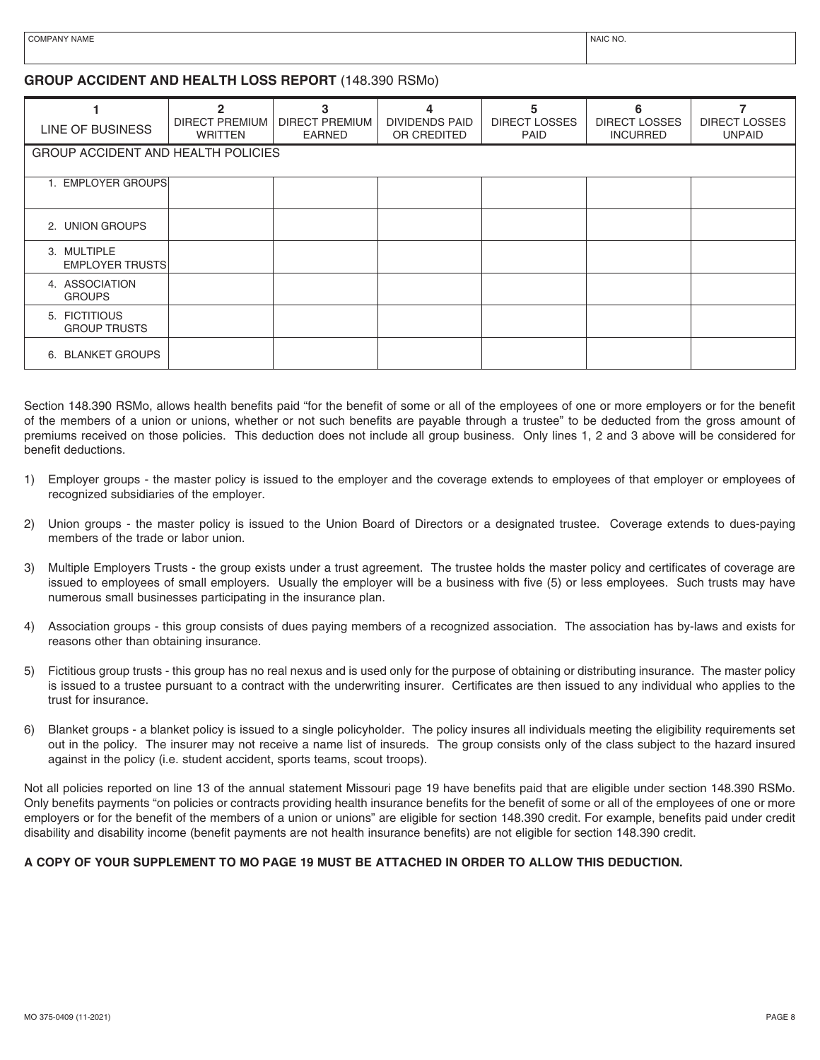## **GROUP ACCIDENT AND HEALTH LOSS REPORT** (148.390 RSMo)

| LINE OF BUSINESS                      | $\mathfrak{p}$<br>DIRECT PREMIUM<br><b>WRITTEN</b> | 3<br><b>DIRECT PREMIUM</b><br><b>EARNED</b> | 4<br><b>DIVIDENDS PAID</b><br>OR CREDITED | 5<br><b>DIRECT LOSSES</b><br>PAID | 6<br><b>DIRECT LOSSES</b><br><b>INCURRED</b> | <b>DIRECT LOSSES</b><br><b>UNPAID</b> |
|---------------------------------------|----------------------------------------------------|---------------------------------------------|-------------------------------------------|-----------------------------------|----------------------------------------------|---------------------------------------|
| GROUP ACCIDENT AND HEALTH POLICIES    |                                                    |                                             |                                           |                                   |                                              |                                       |
| 1. EMPLOYER GROUPS                    |                                                    |                                             |                                           |                                   |                                              |                                       |
| 2. UNION GROUPS                       |                                                    |                                             |                                           |                                   |                                              |                                       |
| 3. MULTIPLE<br><b>EMPLOYER TRUSTS</b> |                                                    |                                             |                                           |                                   |                                              |                                       |
| 4. ASSOCIATION<br><b>GROUPS</b>       |                                                    |                                             |                                           |                                   |                                              |                                       |
| 5. FICTITIOUS<br><b>GROUP TRUSTS</b>  |                                                    |                                             |                                           |                                   |                                              |                                       |
| 6. BLANKET GROUPS                     |                                                    |                                             |                                           |                                   |                                              |                                       |

Section 148.390 RSMo, allows health benefits paid "for the benefit of some or all of the employees of one or more employers or for the benefit of the members of a union or unions, whether or not such benefits are payable through a trustee" to be deducted from the gross amount of premiums received on those policies. This deduction does not include all group business. Only lines 1, 2 and 3 above will be considered for benefit deductions.

- 1) Employer groups the master policy is issued to the employer and the coverage extends to employees of that employer or employees of recognized subsidiaries of the employer.
- 2) Union groups the master policy is issued to the Union Board of Directors or a designated trustee. Coverage extends to dues-paying members of the trade or labor union.
- 3) Multiple Employers Trusts the group exists under a trust agreement. The trustee holds the master policy and certificates of coverage are issued to employees of small employers. Usually the employer will be a business with five (5) or less employees. Such trusts may have numerous small businesses participating in the insurance plan.
- 4) Association groups this group consists of dues paying members of a recognized association. The association has by-laws and exists for reasons other than obtaining insurance.
- 5) Fictitious group trusts this group has no real nexus and is used only for the purpose of obtaining or distributing insurance. The master policy is issued to a trustee pursuant to a contract with the underwriting insurer. Certificates are then issued to any individual who applies to the trust for insurance.
- 6) Blanket groups a blanket policy is issued to a single policyholder. The policy insures all individuals meeting the eligibility requirements set out in the policy. The insurer may not receive a name list of insureds. The group consists only of the class subject to the hazard insured against in the policy (i.e. student accident, sports teams, scout troops).

Not all policies reported on line 13 of the annual statement Missouri page 19 have benefits paid that are eligible under section 148.390 RSMo. Only benefits payments "on policies or contracts providing health insurance benefits for the benefit of some or all of the employees of one or more employers or for the benefit of the members of a union or unions" are eligible for section 148.390 credit. For example, benefits paid under credit disability and disability income (benefit payments are not health insurance benefits) are not eligible for section 148.390 credit.

## **A COPY OF YOUR SUPPLEMENT TO MO PAGE 19 MUST BE ATTACHED IN ORDER TO ALLOW THIS DEDUCTION.**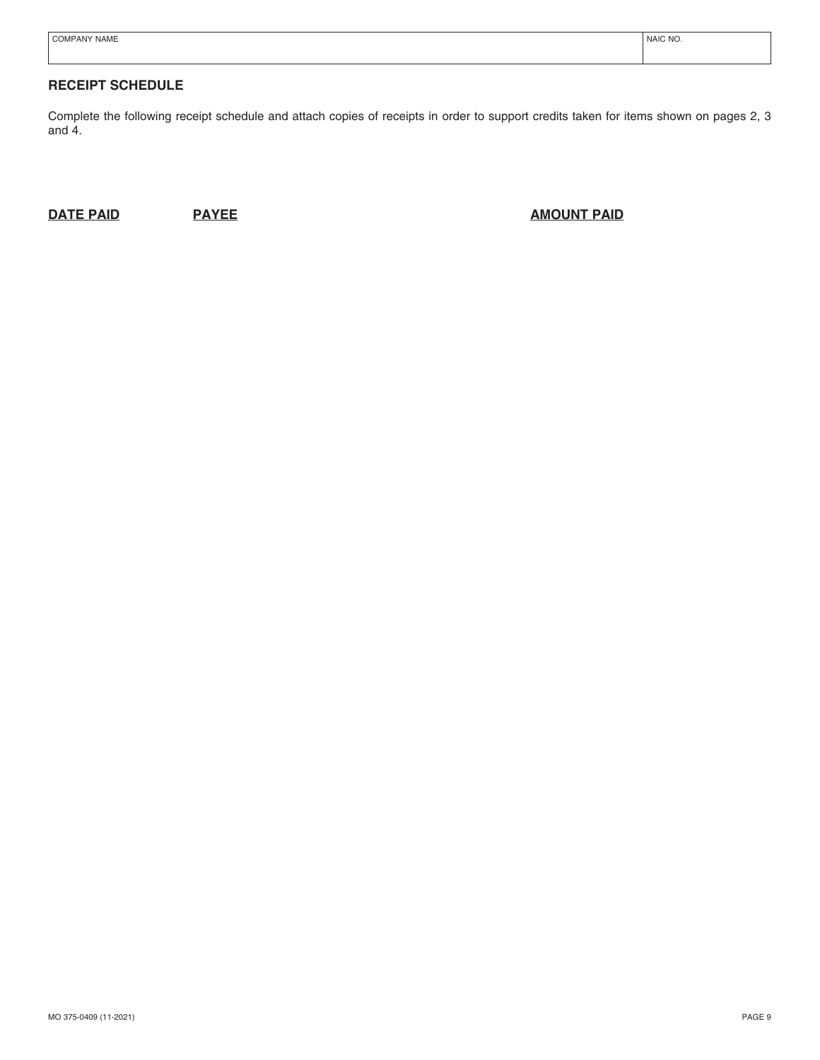| $\sim$<br>PAN'<br>NAME | <b>NAIC NO</b> |
|------------------------|----------------|
|                        |                |

# **RECEIPT SCHEDULE**

Complete the following receipt schedule and attach copies of receipts in order to support credits taken for items shown on pages 2, 3 and 4.

**DATE PAID PAYEE PAYEE PAYEE PAID PAID**